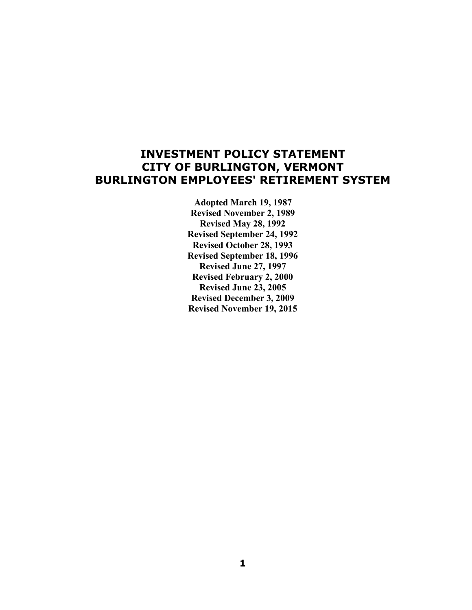# **INVESTMENT POLICY STATEMENT CITY OF BURLINGTON, VERMONT BURLINGTON EMPLOYEES' RETIREMENT SYSTEM**

 **Adopted March 19, 1987 Revised November 2, 1989 Revised May 28, 1992 Revised September 24, 1992 Revised October 28, 1993 Revised September 18, 1996 Revised June 27, 1997 Revised February 2, 2000 Revised June 23, 2005 Revised December 3, 2009 Revised November 19, 2015**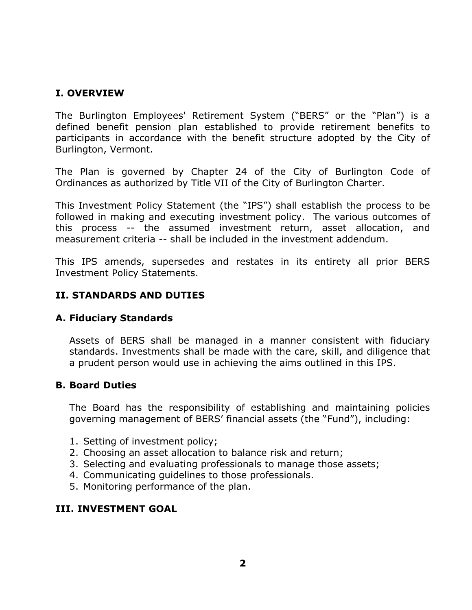## **I. OVERVIEW**

The Burlington Employees' Retirement System ("BERS" or the "Plan") is a defined benefit pension plan established to provide retirement benefits to participants in accordance with the benefit structure adopted by the City of Burlington, Vermont.

The Plan is governed by Chapter 24 of the City of Burlington Code of Ordinances as authorized by Title VII of the City of Burlington Charter.

This Investment Policy Statement (the "IPS") shall establish the process to be followed in making and executing investment policy. The various outcomes of this process -- the assumed investment return, asset allocation, and measurement criteria -- shall be included in the investment addendum.

This IPS amends, supersedes and restates in its entirety all prior BERS Investment Policy Statements.

#### **II. STANDARDS AND DUTIES**

#### **A. Fiduciary Standards**

Assets of BERS shall be managed in a manner consistent with fiduciary standards. Investments shall be made with the care, skill, and diligence that a prudent person would use in achieving the aims outlined in this IPS.

#### **B. Board Duties**

The Board has the responsibility of establishing and maintaining policies governing management of BERS' financial assets (the "Fund"), including:

- 1. Setting of investment policy;
- 2. Choosing an asset allocation to balance risk and return;
- 3. Selecting and evaluating professionals to manage those assets;
- 4. Communicating guidelines to those professionals.
- 5. Monitoring performance of the plan.

#### **III. INVESTMENT GOAL**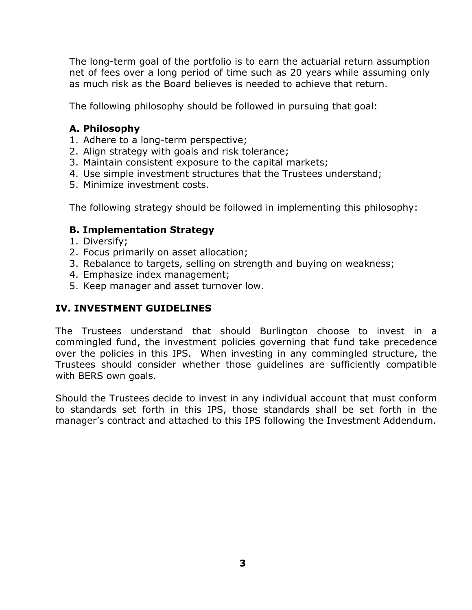The long-term goal of the portfolio is to earn the actuarial return assumption net of fees over a long period of time such as 20 years while assuming only as much risk as the Board believes is needed to achieve that return.

The following philosophy should be followed in pursuing that goal:

## **A. Philosophy**

- 1. Adhere to a long-term perspective;
- 2. Align strategy with goals and risk tolerance;
- 3. Maintain consistent exposure to the capital markets;
- 4. Use simple investment structures that the Trustees understand;
- 5. Minimize investment costs.

The following strategy should be followed in implementing this philosophy:

#### **B. Implementation Strategy**

- 1. Diversify;
- 2. Focus primarily on asset allocation;
- 3. Rebalance to targets, selling on strength and buying on weakness;
- 4. Emphasize index management;
- 5. Keep manager and asset turnover low.

## **IV. INVESTMENT GUIDELINES**

The Trustees understand that should Burlington choose to invest in a commingled fund, the investment policies governing that fund take precedence over the policies in this IPS. When investing in any commingled structure, the Trustees should consider whether those guidelines are sufficiently compatible with BERS own goals.

Should the Trustees decide to invest in any individual account that must conform to standards set forth in this IPS, those standards shall be set forth in the manager's contract and attached to this IPS following the Investment Addendum.